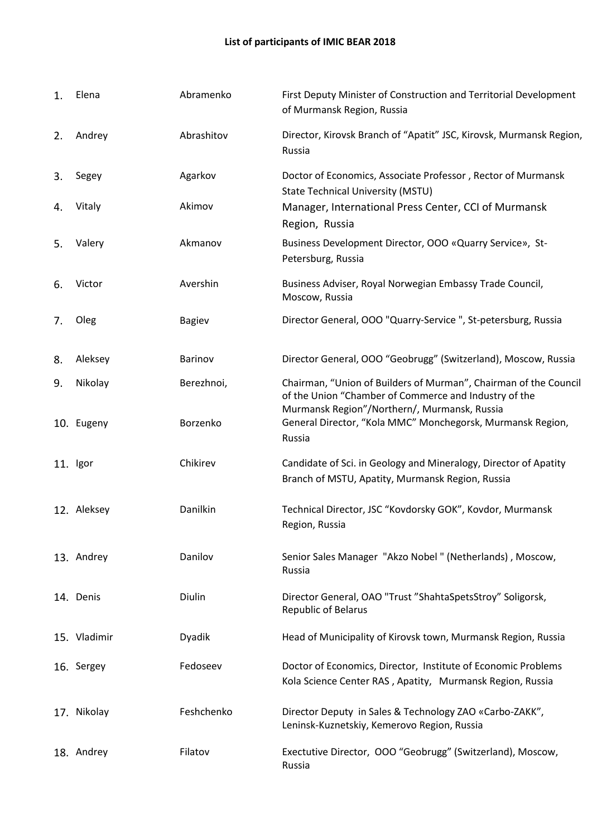| 1. | Elena        | Abramenko     | First Deputy Minister of Construction and Territorial Development<br>of Murmansk Region, Russia                                                                           |
|----|--------------|---------------|---------------------------------------------------------------------------------------------------------------------------------------------------------------------------|
| 2. | Andrey       | Abrashitov    | Director, Kirovsk Branch of "Apatit" JSC, Kirovsk, Murmansk Region,<br>Russia                                                                                             |
| 3. | Segey        | Agarkov       | Doctor of Economics, Associate Professor, Rector of Murmansk<br><b>State Technical University (MSTU)</b>                                                                  |
| 4. | Vitaly       | Akimov        | Manager, International Press Center, CCI of Murmansk<br>Region, Russia                                                                                                    |
| 5. | Valery       | Akmanov       | Business Development Director, OOO «Quarry Service», St-<br>Petersburg, Russia                                                                                            |
| 6. | Victor       | Avershin      | Business Adviser, Royal Norwegian Embassy Trade Council,<br>Moscow, Russia                                                                                                |
| 7. | Oleg         | <b>Bagiev</b> | Director General, OOO "Quarry-Service ", St-petersburg, Russia                                                                                                            |
| 8. | Aleksey      | Barinov       | Director General, OOO "Geobrugg" (Switzerland), Moscow, Russia                                                                                                            |
| 9. | Nikolay      | Berezhnoi,    | Chairman, "Union of Builders of Murman", Chairman of the Council<br>of the Union "Chamber of Commerce and Industry of the<br>Murmansk Region"/Northern/, Murmansk, Russia |
|    | 10. Eugeny   | Borzenko      | General Director, "Kola MMC" Monchegorsk, Murmansk Region,<br>Russia                                                                                                      |
|    | 11. Igor     | Chikirev      | Candidate of Sci. in Geology and Mineralogy, Director of Apatity<br>Branch of MSTU, Apatity, Murmansk Region, Russia                                                      |
|    | 12. Aleksey  | Danilkin      | Technical Director, JSC "Kovdorsky GOK", Kovdor, Murmansk<br>Region, Russia                                                                                               |
|    | 13. Andrey   | Danilov       | Senior Sales Manager "Akzo Nobel" (Netherlands), Moscow,<br>Russia                                                                                                        |
|    | 14. Denis    | Diulin        | Director General, OAO "Trust "ShahtaSpetsStroy" Soligorsk,<br><b>Republic of Belarus</b>                                                                                  |
|    | 15. Vladimir | Dyadik        | Head of Municipality of Kirovsk town, Murmansk Region, Russia                                                                                                             |
|    | 16. Sergey   | Fedoseev      | Doctor of Economics, Director, Institute of Economic Problems<br>Kola Science Center RAS, Apatity, Murmansk Region, Russia                                                |
|    | 17. Nikolay  | Feshchenko    | Director Deputy in Sales & Technology ZAO «Carbo-ZAKK",<br>Leninsk-Kuznetskiy, Kemerovo Region, Russia                                                                    |
|    | 18. Andrey   | Filatov       | Exectutive Director, OOO "Geobrugg" (Switzerland), Moscow,<br>Russia                                                                                                      |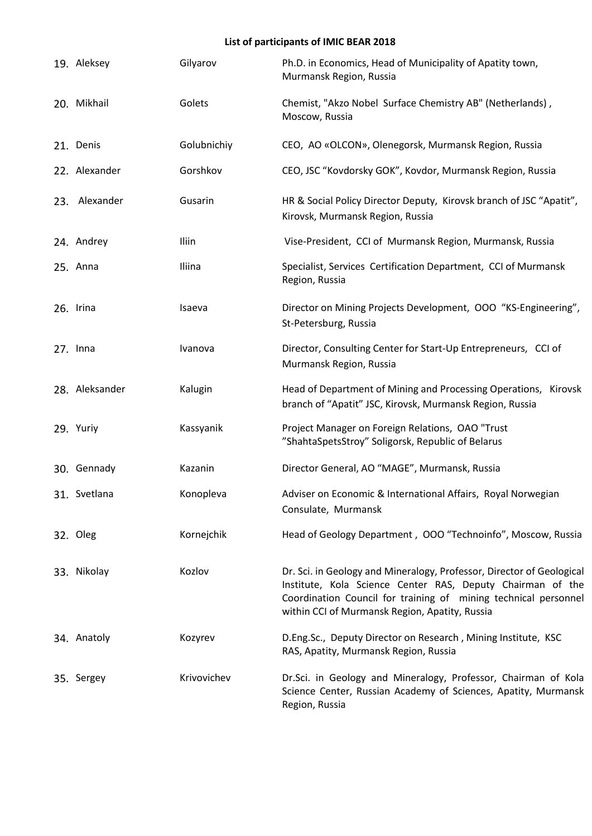| 19. Aleksey    | Gilyarov    | Ph.D. in Economics, Head of Municipality of Apatity town,<br>Murmansk Region, Russia                                                                                                                                                                     |
|----------------|-------------|----------------------------------------------------------------------------------------------------------------------------------------------------------------------------------------------------------------------------------------------------------|
| 20. Mikhail    | Golets      | Chemist, "Akzo Nobel Surface Chemistry AB" (Netherlands),<br>Moscow, Russia                                                                                                                                                                              |
| 21. Denis      | Golubnichiy | CEO, AO «OLCON», Olenegorsk, Murmansk Region, Russia                                                                                                                                                                                                     |
| 22. Alexander  | Gorshkov    | CEO, JSC "Kovdorsky GOK", Kovdor, Murmansk Region, Russia                                                                                                                                                                                                |
| 23. Alexander  | Gusarin     | HR & Social Policy Director Deputy, Kirovsk branch of JSC "Apatit",<br>Kirovsk, Murmansk Region, Russia                                                                                                                                                  |
| 24. Andrey     | Iliin       | Vise-President, CCI of Murmansk Region, Murmansk, Russia                                                                                                                                                                                                 |
| 25. Anna       | Iliina      | Specialist, Services Certification Department, CCI of Murmansk<br>Region, Russia                                                                                                                                                                         |
| 26. Irina      | Isaeva      | Director on Mining Projects Development, OOO "KS-Engineering",<br>St-Petersburg, Russia                                                                                                                                                                  |
| $27.$ Inna     | Ivanova     | Director, Consulting Center for Start-Up Entrepreneurs, CCI of<br>Murmansk Region, Russia                                                                                                                                                                |
| 28. Aleksander | Kalugin     | Head of Department of Mining and Processing Operations, Kirovsk<br>branch of "Apatit" JSC, Kirovsk, Murmansk Region, Russia                                                                                                                              |
| 29. Yuriy      | Kassyanik   | Project Manager on Foreign Relations, OAO "Trust<br>"ShahtaSpetsStroy" Soligorsk, Republic of Belarus                                                                                                                                                    |
| 30. Gennady    | Kazanin     | Director General, AO "MAGE", Murmansk, Russia                                                                                                                                                                                                            |
| 31. Svetlana   | Konopleva   | Adviser on Economic & International Affairs, Royal Norwegian<br>Consulate, Murmansk                                                                                                                                                                      |
| 32. Oleg       | Kornejchik  | Head of Geology Department, OOO "Technoinfo", Moscow, Russia                                                                                                                                                                                             |
| 33. Nikolay    | Kozlov      | Dr. Sci. in Geology and Mineralogy, Professor, Director of Geological<br>Institute, Kola Science Center RAS, Deputy Chairman of the<br>Coordination Council for training of mining technical personnel<br>within CCI of Murmansk Region, Apatity, Russia |
| 34. Anatoly    | Kozyrev     | D.Eng.Sc., Deputy Director on Research, Mining Institute, KSC<br>RAS, Apatity, Murmansk Region, Russia                                                                                                                                                   |
| 35. Sergey     | Krivovichev | Dr.Sci. in Geology and Mineralogy, Professor, Chairman of Kola<br>Science Center, Russian Academy of Sciences, Apatity, Murmansk<br>Region, Russia                                                                                                       |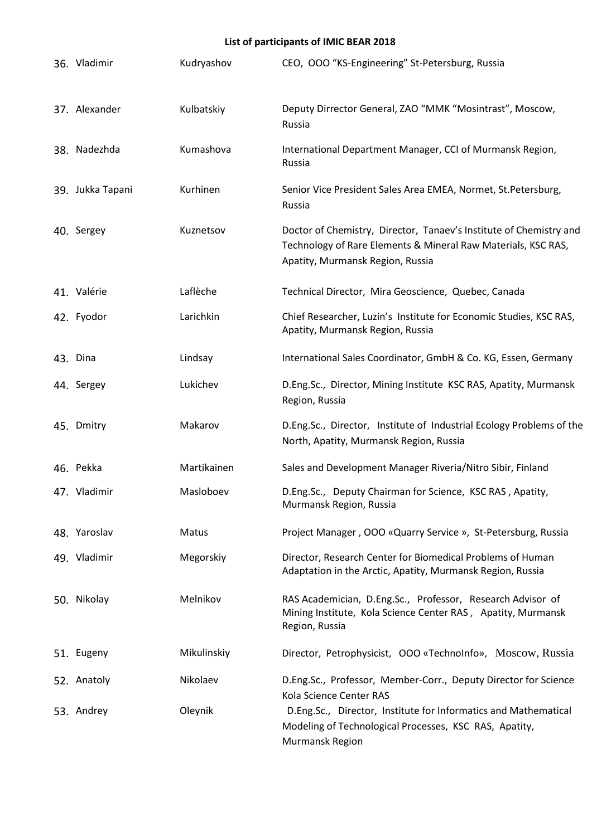| 36. Vladimir     | Kudryashov  | CEO, OOO "KS-Engineering" St-Petersburg, Russia                                                                                                                         |
|------------------|-------------|-------------------------------------------------------------------------------------------------------------------------------------------------------------------------|
| 37. Alexander    | Kulbatskiy  | Deputy Dirrector General, ZAO "MMK "Mosintrast", Moscow,<br>Russia                                                                                                      |
| 38. Nadezhda     | Kumashova   | International Department Manager, CCI of Murmansk Region,<br>Russia                                                                                                     |
| 39. Jukka Tapani | Kurhinen    | Senior Vice President Sales Area EMEA, Normet, St. Petersburg,<br>Russia                                                                                                |
| 40. Sergey       | Kuznetsov   | Doctor of Chemistry, Director, Tanaev's Institute of Chemistry and<br>Technology of Rare Elements & Mineral Raw Materials, KSC RAS,<br>Apatity, Murmansk Region, Russia |
| 41. Valérie      | Laflèche    | Technical Director, Mira Geoscience, Quebec, Canada                                                                                                                     |
| 42. Fyodor       | Larichkin   | Chief Researcher, Luzin's Institute for Economic Studies, KSC RAS,<br>Apatity, Murmansk Region, Russia                                                                  |
| 43. Dina         | Lindsay     | International Sales Coordinator, GmbH & Co. KG, Essen, Germany                                                                                                          |
| 44. Sergey       | Lukichev    | D.Eng.Sc., Director, Mining Institute KSC RAS, Apatity, Murmansk<br>Region, Russia                                                                                      |
| 45. Dmitry       | Makarov     | D.Eng.Sc., Director, Institute of Industrial Ecology Problems of the<br>North, Apatity, Murmansk Region, Russia                                                         |
| 46. Pekka        | Martikainen | Sales and Development Manager Riveria/Nitro Sibir, Finland                                                                                                              |
| 47. Vladimir     | Masloboev   | D.Eng.Sc., Deputy Chairman for Science, KSC RAS, Apatity,<br>Murmansk Region, Russia                                                                                    |
| 48. Yaroslav     | Matus       | Project Manager, OOO «Quarry Service », St-Petersburg, Russia                                                                                                           |
| 49. Vladimir     | Megorskiy   | Director, Research Center for Biomedical Problems of Human<br>Adaptation in the Arctic, Apatity, Murmansk Region, Russia                                                |
| 50. Nikolay      | Melnikov    | RAS Academician, D.Eng.Sc., Professor, Research Advisor of<br>Mining Institute, Kola Science Center RAS, Apatity, Murmansk<br>Region, Russia                            |
| 51. Eugeny       | Mikulinskiy | Director, Petrophysicist, OOO «TechnoInfo», Moscow, Russia                                                                                                              |
| 52. Anatoly      | Nikolaev    | D.Eng.Sc., Professor, Member-Corr., Deputy Director for Science<br>Kola Science Center RAS                                                                              |
| 53. Andrey       | Oleynik     | D.Eng.Sc., Director, Institute for Informatics and Mathematical<br>Modeling of Technological Processes, KSC RAS, Apatity,<br>Murmansk Region                            |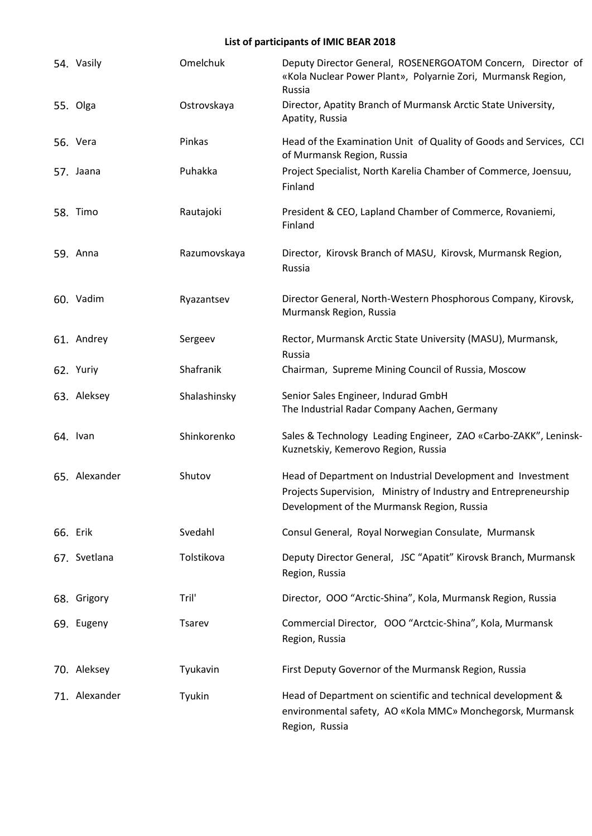| 54. Vasily    | Omelchuk     | Deputy Director General, ROSENERGOATOM Concern, Director of<br>«Kola Nuclear Power Plant», Polyarnie Zori, Murmansk Region,<br>Russia                                        |
|---------------|--------------|------------------------------------------------------------------------------------------------------------------------------------------------------------------------------|
| 55. Olga      | Ostrovskaya  | Director, Apatity Branch of Murmansk Arctic State University,<br>Apatity, Russia                                                                                             |
| 56. Vera      | Pinkas       | Head of the Examination Unit of Quality of Goods and Services, CCI<br>of Murmansk Region, Russia                                                                             |
| 57. Jaana     | Puhakka      | Project Specialist, North Karelia Chamber of Commerce, Joensuu,<br>Finland                                                                                                   |
| 58. Timo      | Rautajoki    | President & CEO, Lapland Chamber of Commerce, Rovaniemi,<br>Finland                                                                                                          |
| 59. Anna      | Razumovskaya | Director, Kirovsk Branch of MASU, Kirovsk, Murmansk Region,<br>Russia                                                                                                        |
| 60. Vadim     | Ryazantsev   | Director General, North-Western Phosphorous Company, Kirovsk,<br>Murmansk Region, Russia                                                                                     |
| 61. Andrey    | Sergeev      | Rector, Murmansk Arctic State University (MASU), Murmansk,<br>Russia                                                                                                         |
| 62. Yuriy     | Shafranik    | Chairman, Supreme Mining Council of Russia, Moscow                                                                                                                           |
| 63. Aleksey   | Shalashinsky | Senior Sales Engineer, Indurad GmbH<br>The Industrial Radar Company Aachen, Germany                                                                                          |
| 64. Ivan      | Shinkorenko  | Sales & Technology Leading Engineer, ZAO «Carbo-ZAKK", Leninsk-<br>Kuznetskiy, Kemerovo Region, Russia                                                                       |
| 65. Alexander | Shutov       | Head of Department on Industrial Development and Investment<br>Projects Supervision, Ministry of Industry and Entrepreneurship<br>Development of the Murmansk Region, Russia |
| 66. Erik      | Svedahl      | Consul General, Royal Norwegian Consulate, Murmansk                                                                                                                          |
| 67. Svetlana  | Tolstikova   | Deputy Director General, JSC "Apatit" Kirovsk Branch, Murmansk<br>Region, Russia                                                                                             |
| 68. Grigory   | Tril'        | Director, OOO "Arctic-Shina", Kola, Murmansk Region, Russia                                                                                                                  |
| 69. Eugeny    | Tsarev       | Commercial Director, OOO "Arctcic-Shina", Kola, Murmansk<br>Region, Russia                                                                                                   |
| 70. Aleksey   | Tyukavin     | First Deputy Governor of the Murmansk Region, Russia                                                                                                                         |
| 71. Alexander | Tyukin       | Head of Department on scientific and technical development &<br>environmental safety, AO «Kola MMC» Monchegorsk, Murmansk<br>Region, Russia                                  |